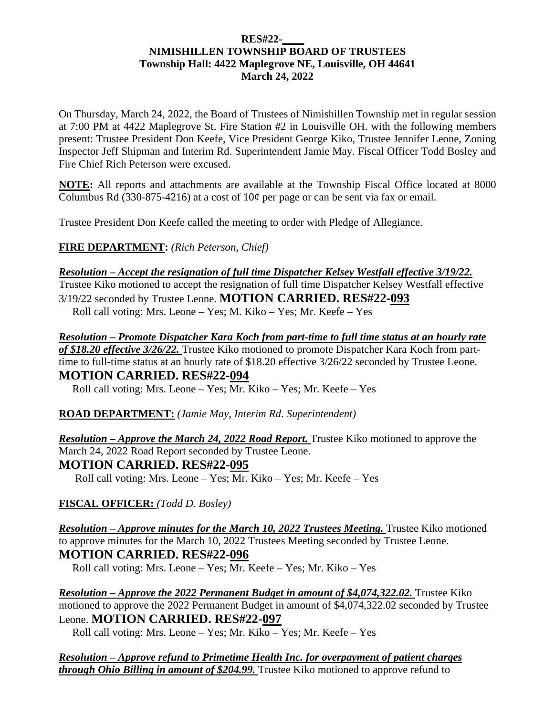### **RES#22-\_\_\_\_ NIMISHILLEN TOWNSHIP BOARD OF TRUSTEES Township Hall: 4422 Maplegrove NE, Louisville, OH 44641 March 24, 2022**

On Thursday, March 24, 2022, the Board of Trustees of Nimishillen Township met in regular session at 7:00 PM at 4422 Maplegrove St. Fire Station #2 in Louisville OH. with the following members present: Trustee President Don Keefe, Vice President George Kiko, Trustee Jennifer Leone, Zoning Inspector Jeff Shipman and Interim Rd. Superintendent Jamie May. Fiscal Officer Todd Bosley and Fire Chief Rich Peterson were excused.

**NOTE:** All reports and attachments are available at the Township Fiscal Office located at 8000 Columbus Rd (330-875-4216) at a cost of  $10¢$  per page or can be sent via fax or email.

Trustee President Don Keefe called the meeting to order with Pledge of Allegiance.

**FIRE DEPARTMENT:** *(Rich Peterson, Chief)* 

*Resolution – Accept the resignation of full time Dispatcher Kelsey Westfall effective 3/19/22.*  Trustee Kiko motioned to accept the resignation of full time Dispatcher Kelsey Westfall effective 3/19/22 seconded by Trustee Leone. **MOTION CARRIED. RES#22-093**  Roll call voting: Mrs. Leone – Yes; M. Kiko – Yes; Mr. Keefe – Yes

*Resolution – Promote Dispatcher Kara Koch from part-time to full time status at an hourly rate of \$18.20 effective 3/26/22.* Trustee Kiko motioned to promote Dispatcher Kara Koch from parttime to full-time status at an hourly rate of \$18.20 effective 3/26/22 seconded by Trustee Leone. **MOTION CARRIED. RES#22-094** 

Roll call voting: Mrs. Leone – Yes; Mr. Kiko – Yes; Mr. Keefe – Yes

**ROAD DEPARTMENT:** *(Jamie May, Interim Rd. Superintendent)*

*Resolution – Approve the March 24, 2022 Road Report.* Trustee Kiko motioned to approve the March 24, 2022 Road Report seconded by Trustee Leone.

**MOTION CARRIED. RES#22-095**

Roll call voting: Mrs. Leone – Yes; Mr. Kiko – Yes; Mr. Keefe – Yes

**FISCAL OFFICER:** *(Todd D. Bosley)* 

*Resolution – Approve minutes for the March 10, 2022 Trustees Meeting. Trustee Kiko motioned* to approve minutes for the March 10, 2022 Trustees Meeting seconded by Trustee Leone. **MOTION CARRIED. RES#22-096**

Roll call voting: Mrs. Leone – Yes; Mr. Keefe – Yes; Mr. Kiko – Yes

*Resolution – Approve the 2022 Permanent Budget in amount of \$4,074,322.02.* **Trustee Kiko** motioned to approve the 2022 Permanent Budget in amount of \$4,074,322.02 seconded by Trustee Leone. **MOTION CARRIED. RES#22-097**

Roll call voting: Mrs. Leone – Yes; Mr. Kiko – Yes; Mr. Keefe – Yes

*Resolution – Approve refund to Primetime Health Inc. for overpayment of patient charges through Ohio Billing in amount of \$204.99.* Trustee Kiko motioned to approve refund to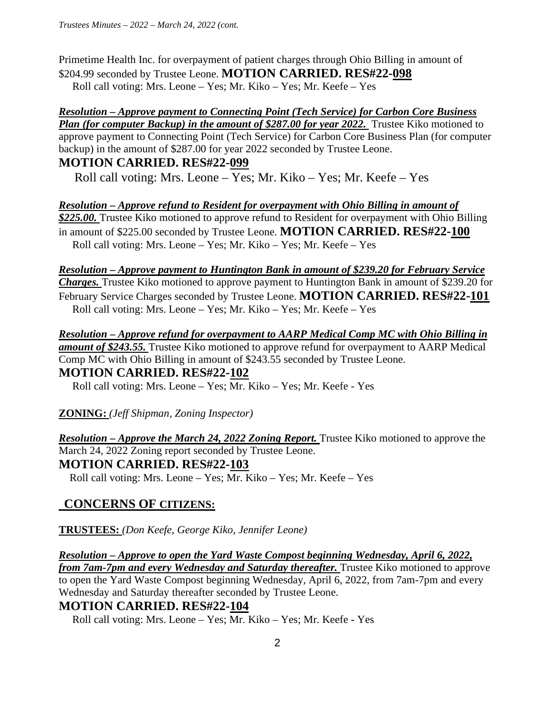Primetime Health Inc. for overpayment of patient charges through Ohio Billing in amount of \$204.99 seconded by Trustee Leone. **MOTION CARRIED. RES#22-098** 

Roll call voting: Mrs. Leone – Yes; Mr. Kiko – Yes; Mr. Keefe – Yes

*Resolution – Approve payment to Connecting Point (Tech Service) for Carbon Core Business Plan (for computer Backup) in the amount of \$287.00 for year 2022.* Trustee Kiko motioned to approve payment to Connecting Point (Tech Service) for Carbon Core Business Plan (for computer backup) in the amount of \$287.00 for year 2022 seconded by Trustee Leone. **MOTION CARRIED. RES#22-099** 

# Roll call voting: Mrs. Leone – Yes; Mr. Kiko – Yes; Mr. Keefe – Yes

*Resolution – Approve refund to Resident for overpayment with Ohio Billing in amount of*  \$225.00. Trustee Kiko motioned to approve refund to Resident for overpayment with Ohio Billing in amount of \$225.00 seconded by Trustee Leone. **MOTION CARRIED. RES#22-100**  Roll call voting: Mrs. Leone – Yes; Mr. Kiko – Yes; Mr. Keefe – Yes

*Resolution – Approve payment to Huntington Bank in amount of \$239.20 for February Service Charges.* Trustee Kiko motioned to approve payment to Huntington Bank in amount of \$239.20 for February Service Charges seconded by Trustee Leone. **MOTION CARRIED. RES#22-101**  Roll call voting: Mrs. Leone – Yes; Mr. Kiko – Yes; Mr. Keefe – Yes

*Resolution – Approve refund for overpayment to AARP Medical Comp MC with Ohio Billing in amount of \$243.55.* Trustee Kiko motioned to approve refund for overpayment to AARP Medical Comp MC with Ohio Billing in amount of \$243.55 seconded by Trustee Leone.

# **MOTION CARRIED. RES#22-102**

Roll call voting: Mrs. Leone – Yes; Mr. Kiko – Yes; Mr. Keefe - Yes

### **ZONING:** *(Jeff Shipman, Zoning Inspector)*

*Resolution – Approve the March 24, 2022 Zoning Report.* Trustee Kiko motioned to approve the March 24, 2022 Zoning report seconded by Trustee Leone.

### **MOTION CARRIED. RES#22-103**

Roll call voting: Mrs. Leone – Yes; Mr. Kiko – Yes; Mr. Keefe – Yes

### **CONCERNS OF CITIZENS:**

### **TRUSTEES:** *(Don Keefe, George Kiko, Jennifer Leone)*

*Resolution – Approve to open the Yard Waste Compost beginning Wednesday, April 6, 2022, from 7am-7pm and every Wednesday and Saturday thereafter.* Trustee Kiko motioned to approve to open the Yard Waste Compost beginning Wednesday, April 6, 2022, from 7am-7pm and every Wednesday and Saturday thereafter seconded by Trustee Leone.

# **MOTION CARRIED. RES#22-104**

Roll call voting: Mrs. Leone – Yes; Mr. Kiko – Yes; Mr. Keefe - Yes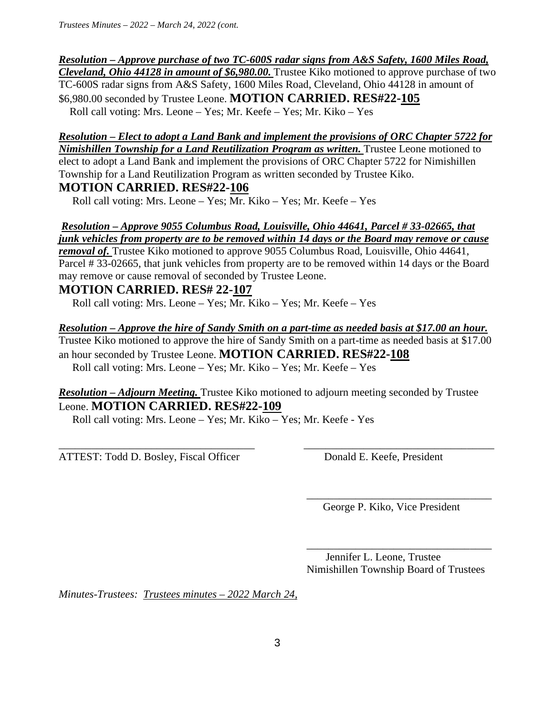### *Resolution – Approve purchase of two TC-600S radar signs from A&S Safety, 1600 Miles Road,*

*Cleveland, Ohio 44128 in amount of \$6,980.00.* Trustee Kiko motioned to approve purchase of two TC-600S radar signs from A&S Safety, 1600 Miles Road, Cleveland, Ohio 44128 in amount of \$6,980.00 seconded by Trustee Leone. **MOTION CARRIED. RES#22-105**  Roll call voting: Mrs. Leone – Yes; Mr. Keefe – Yes; Mr. Kiko – Yes

# *Resolution – Elect to adopt a Land Bank and implement the provisions of ORC Chapter 5722 for*

*Nimishillen Township for a Land Reutilization Program as written.* Trustee Leone motioned to elect to adopt a Land Bank and implement the provisions of ORC Chapter 5722 for Nimishillen Township for a Land Reutilization Program as written seconded by Trustee Kiko.

### **MOTION CARRIED. RES#22-106**

Roll call voting: Mrs. Leone – Yes; Mr. Kiko – Yes; Mr. Keefe – Yes

### *Resolution – Approve 9055 Columbus Road, Louisville, Ohio 44641, Parcel # 33-02665, that junk vehicles from property are to be removed within 14 days or the Board may remove or cause*

*removal of.* Trustee Kiko motioned to approve 9055 Columbus Road, Louisville, Ohio 44641, Parcel # 33-02665, that junk vehicles from property are to be removed within 14 days or the Board may remove or cause removal of seconded by Trustee Leone.

## **MOTION CARRIED. RES# 22-107**

Roll call voting: Mrs. Leone – Yes; Mr. Kiko – Yes; Mr. Keefe – Yes

*Resolution – Approve the hire of Sandy Smith on a part-time as needed basis at \$17.00 an hour.*  Trustee Kiko motioned to approve the hire of Sandy Smith on a part-time as needed basis at \$17.00 an hour seconded by Trustee Leone. **MOTION CARRIED. RES#22-108**  Roll call voting: Mrs. Leone – Yes; Mr. Kiko – Yes; Mr. Keefe – Yes

### *Resolution – Adjourn Meeting.* Trustee Kiko motioned to adjourn meeting seconded by Trustee Leone. **MOTION CARRIED. RES#22-109**

\_\_\_\_\_\_\_\_\_\_\_\_\_\_\_\_\_\_\_\_\_\_\_\_\_\_\_\_\_\_\_\_\_\_\_\_ \_\_\_\_\_\_\_\_\_\_\_\_\_\_\_\_\_\_\_\_\_\_\_\_\_\_\_\_\_\_\_\_\_\_\_

 $\overline{\phantom{a}}$  , and the contract of the contract of the contract of the contract of the contract of the contract of the contract of the contract of the contract of the contract of the contract of the contract of the contrac

 $\overline{\phantom{a}}$  , and the contract of the contract of the contract of the contract of the contract of the contract of the contract of the contract of the contract of the contract of the contract of the contract of the contrac

Roll call voting: Mrs. Leone – Yes; Mr. Kiko – Yes; Mr. Keefe - Yes

ATTEST: Todd D. Bosley, Fiscal Officer Donald E. Keefe, President

George P. Kiko, Vice President

 Jennifer L. Leone, Trustee Nimishillen Township Board of Trustees

*Minutes-Trustees: Trustees minutes – 2022 March 24,*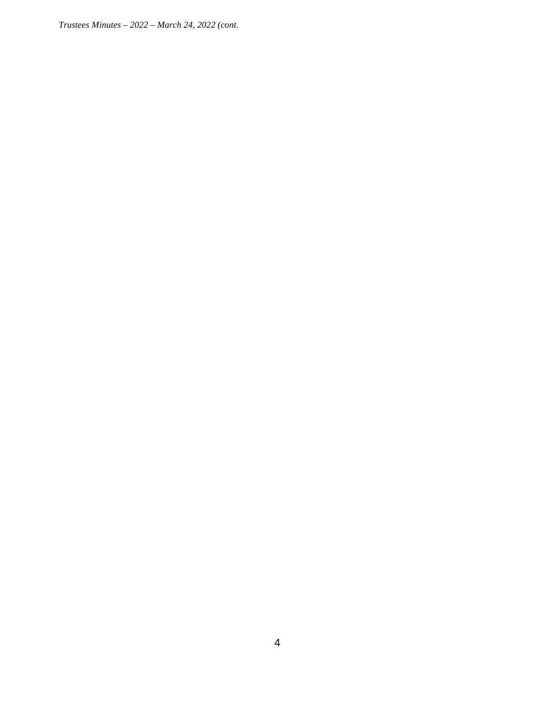*Trustees Minutes – 2022 – March 24, 2022 (cont.*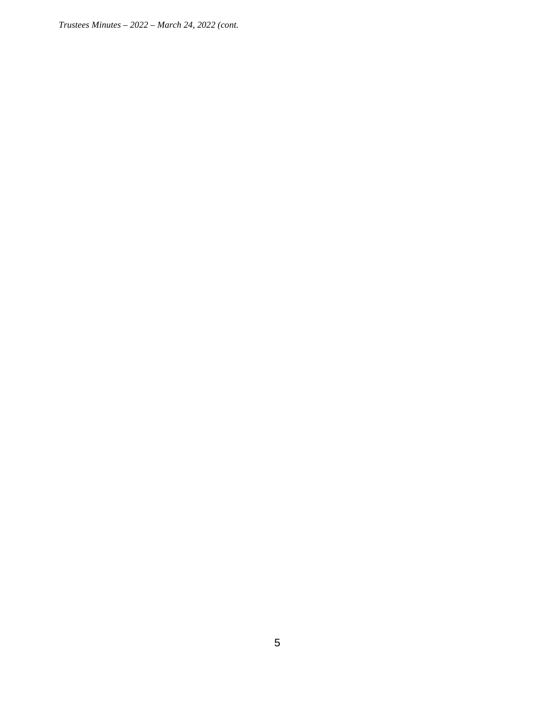*Trustees Minutes – 2022 – March 24, 2022 (cont.*